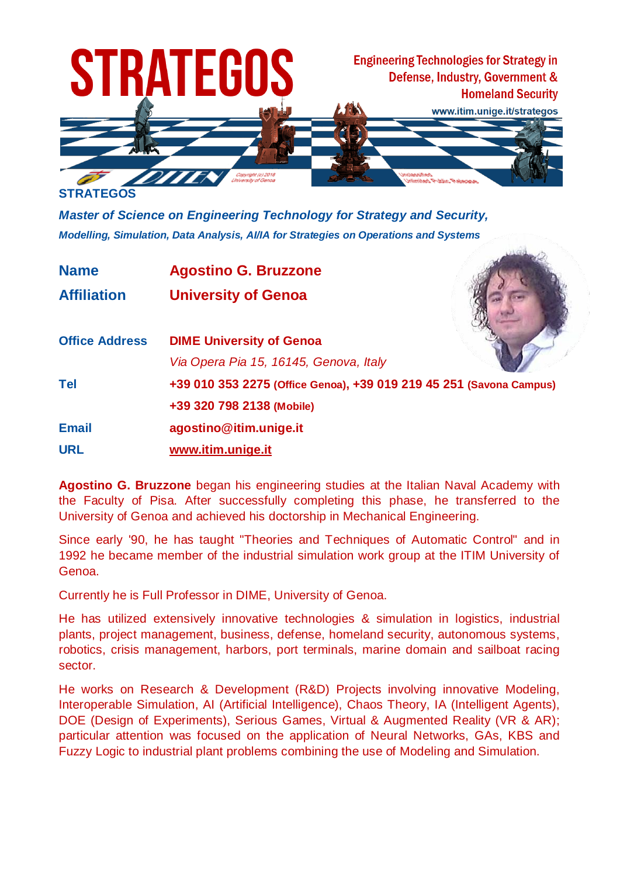

*Master of Science on Engineering Technology for Strategy and Security, Modelling, Simulation, Data Analysis, AI/IA for Strategies on Operations and Systems*

**Name Agostino G. Bruzzone**

**Affiliation University of Genoa**

| <b>Office Address</b> | <b>DIME University of Genoa</b>                                     |  |  |
|-----------------------|---------------------------------------------------------------------|--|--|
|                       | Via Opera Pia 15, 16145, Genova, Italy                              |  |  |
| <b>Tel</b>            | +39 010 353 2275 (Office Genoa), +39 019 219 45 251 (Savona Campus) |  |  |
|                       | +39 320 798 2138 (Mobile)                                           |  |  |
| <b>Email</b>          | agostino@itim.unige.it                                              |  |  |
| <b>URL</b>            | www.itim.unige.it                                                   |  |  |

**Agostino G. Bruzzone** began his engineering studies at the Italian Naval Academy with the Faculty of Pisa. After successfully completing this phase, he transferred to the University of Genoa and achieved his doctorship in Mechanical Engineering.

Since early '90, he has taught "Theories and Techniques of Automatic Control" and in 1992 he became member of the industrial simulation work group at the ITIM University of Genoa.

Currently he is Full Professor in DIME, University of Genoa.

He has utilized extensively innovative technologies & simulation in logistics, industrial plants, project management, business, defense, homeland security, autonomous systems, robotics, crisis management, harbors, port terminals, marine domain and sailboat racing sector.

He works on Research & Development (R&D) Projects involving innovative Modeling, Interoperable Simulation, AI (Artificial Intelligence), Chaos Theory, IA (Intelligent Agents), DOE (Design of Experiments), Serious Games, Virtual & Augmented Reality (VR & AR); particular attention was focused on the application of Neural Networks, GAs, KBS and Fuzzy Logic to industrial plant problems combining the use of Modeling and Simulation.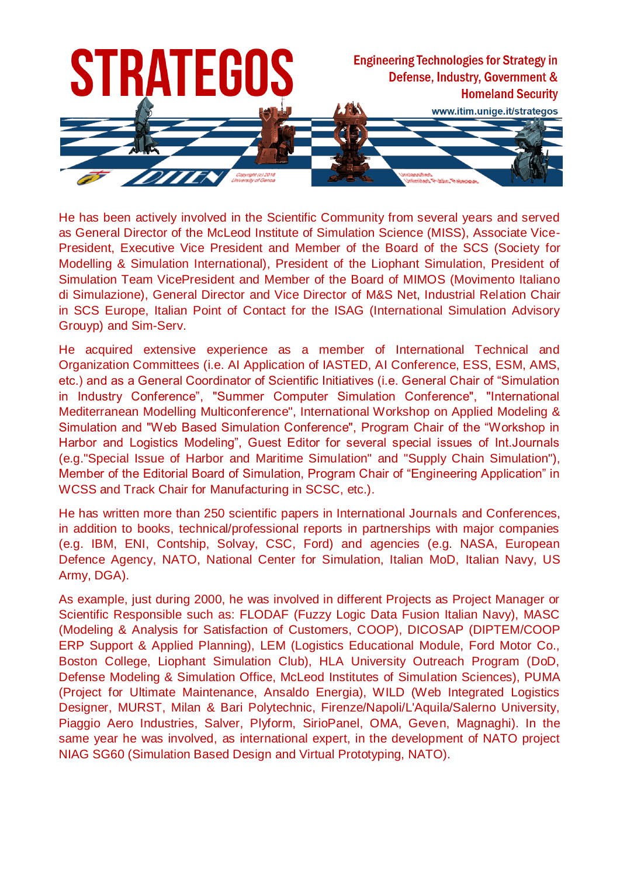

He has been actively involved in the Scientific Community from several years and served as General Director of the McLeod Institute of Simulation Science (MISS), Associate Vice-President, Executive Vice President and Member of the Board of the SCS (Society for Modelling & Simulation International), President of the Liophant Simulation, President of Simulation Team VicePresident and Member of the Board of MIMOS (Movimento Italiano di Simulazione), General Director and Vice Director of M&S Net, Industrial Relation Chair in SCS Europe, Italian Point of Contact for the ISAG (International Simulation Advisory Grouyp) and Sim-Serv.

He acquired extensive experience as a member of International Technical and Organization Committees (i.e. AI Application of IASTED, AI Conference, ESS, ESM, AMS, etc.) and as a General Coordinator of Scientific Initiatives (i.e. General Chair of "Simulation in Industry Conference", "Summer Computer Simulation Conference", "International Mediterranean Modelling Multiconference", International Workshop on Applied Modeling & Simulation and "Web Based Simulation Conference", Program Chair of the "Workshop in Harbor and Logistics Modeling", Guest Editor for several special issues of Int.Journals (e.g."Special Issue of Harbor and Maritime Simulation" and "Supply Chain Simulation"), Member of the Editorial Board of Simulation, Program Chair of "Engineering Application" in WCSS and Track Chair for Manufacturing in SCSC, etc.).

He has written more than 250 scientific papers in International Journals and Conferences, in addition to books, technical/professional reports in partnerships with major companies (e.g. IBM, ENI, Contship, Solvay, CSC, Ford) and agencies (e.g. NASA, European Defence Agency, NATO, National Center for Simulation, Italian MoD, Italian Navy, US Army, DGA).

As example, just during 2000, he was involved in different Projects as Project Manager or Scientific Responsible such as: FLODAF (Fuzzy Logic Data Fusion Italian Navy), MASC (Modeling & Analysis for Satisfaction of Customers, COOP), DICOSAP (DIPTEM/COOP ERP Support & Applied Planning), LEM (Logistics Educational Module, Ford Motor Co., Boston College, Liophant Simulation Club), HLA University Outreach Program (DoD, Defense Modeling & Simulation Office, McLeod Institutes of Simulation Sciences), PUMA (Project for Ultimate Maintenance, Ansaldo Energia), WILD (Web Integrated Logistics Designer, MURST, Milan & Bari Polytechnic, Firenze/Napoli/L'Aquila/Salerno University, Piaggio Aero Industries, Salver, Plyform, SirioPanel, OMA, Geven, Magnaghi). In the same year he was involved, as international expert, in the development of NATO project NIAG SG60 (Simulation Based Design and Virtual Prototyping, NATO).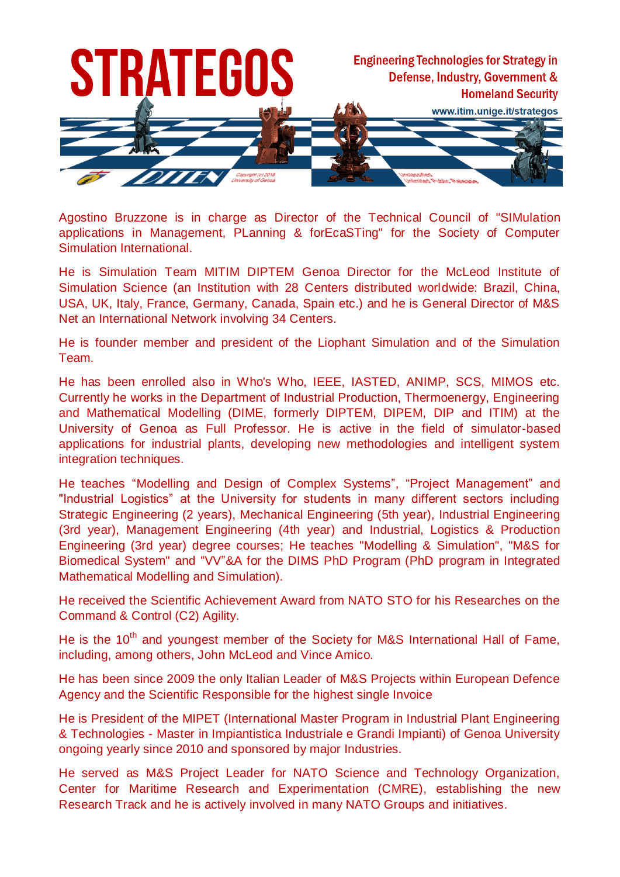

Agostino Bruzzone is in charge as Director of the Technical Council of "SIMulation applications in Management, PLanning & forEcaSTing" for the Society of Computer Simulation International.

He is Simulation Team MITIM DIPTEM Genoa Director for the McLeod Institute of Simulation Science (an Institution with 28 Centers distributed worldwide: Brazil, China, USA, UK, Italy, France, Germany, Canada, Spain etc.) and he is General Director of M&S Net an International Network involving 34 Centers.

He is founder member and president of the Liophant Simulation and of the Simulation Team.

He has been enrolled also in Who's Who, IEEE, IASTED, ANIMP, SCS, MIMOS etc. Currently he works in the Department of Industrial Production, Thermoenergy, Engineering and Mathematical Modelling (DIME, formerly DIPTEM, DIPEM, DIP and ITIM) at the University of Genoa as Full Professor. He is active in the field of simulator-based applications for industrial plants, developing new methodologies and intelligent system integration techniques.

He teaches "Modelling and Design of Complex Systems", "Project Management" and "Industrial Logistics" at the University for students in many different sectors including Strategic Engineering (2 years), Mechanical Engineering (5th year), Industrial Engineering (3rd year), Management Engineering (4th year) and Industrial, Logistics & Production Engineering (3rd year) degree courses; He teaches "Modelling & Simulation", "M&S for Biomedical System" and "VV"&A for the DIMS PhD Program (PhD program in Integrated Mathematical Modelling and Simulation).

He received the Scientific Achievement Award from NATO STO for his Researches on the Command & Control (C2) Agility.

He is the 10<sup>th</sup> and youngest member of the Society for M&S International Hall of Fame, including, among others, John McLeod and Vince Amico.

He has been since 2009 the only Italian Leader of M&S Projects within European Defence Agency and the Scientific Responsible for the highest single Invoice

He is President of the MIPET (International Master Program in Industrial Plant Engineering & Technologies - Master in Impiantistica Industriale e Grandi Impianti) of Genoa University ongoing yearly since 2010 and sponsored by major Industries.

He served as M&S Project Leader for NATO Science and Technology Organization, Center for Maritime Research and Experimentation (CMRE), establishing the new Research Track and he is actively involved in many NATO Groups and initiatives.